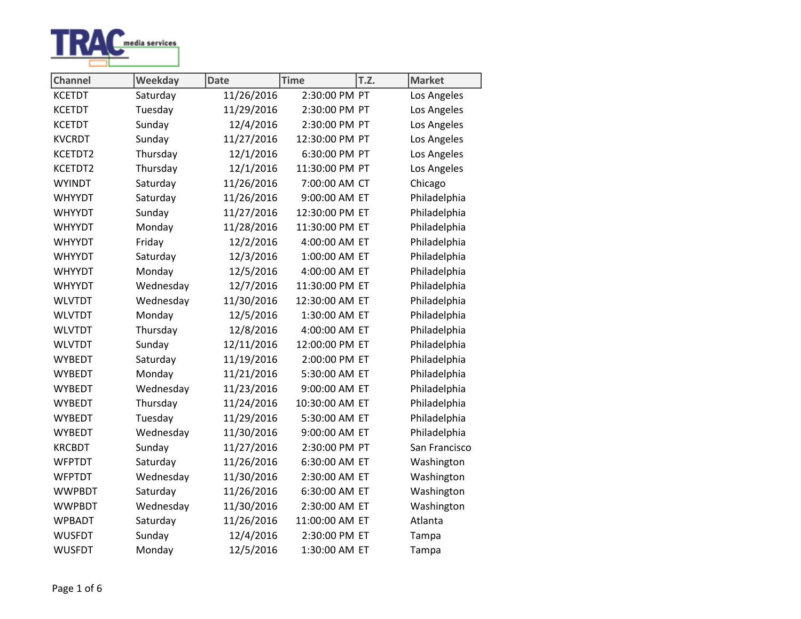

| <b>Channel</b> | Weekday   | <b>Date</b> | <b>Time</b>    | T.Z. | <b>Market</b> |
|----------------|-----------|-------------|----------------|------|---------------|
| <b>KCETDT</b>  | Saturday  | 11/26/2016  | 2:30:00 PM PT  |      | Los Angeles   |
| <b>KCETDT</b>  | Tuesday   | 11/29/2016  | 2:30:00 PM PT  |      | Los Angeles   |
| <b>KCETDT</b>  | Sunday    | 12/4/2016   | 2:30:00 PM PT  |      | Los Angeles   |
| <b>KVCRDT</b>  | Sunday    | 11/27/2016  | 12:30:00 PM PT |      | Los Angeles   |
| KCETDT2        | Thursday  | 12/1/2016   | 6:30:00 PM PT  |      | Los Angeles   |
| KCETDT2        | Thursday  | 12/1/2016   | 11:30:00 PM PT |      | Los Angeles   |
| <b>WYINDT</b>  | Saturday  | 11/26/2016  | 7:00:00 AM CT  |      | Chicago       |
| <b>WHYYDT</b>  | Saturday  | 11/26/2016  | 9:00:00 AM ET  |      | Philadelphia  |
| <b>WHYYDT</b>  | Sunday    | 11/27/2016  | 12:30:00 PM ET |      | Philadelphia  |
| <b>WHYYDT</b>  | Monday    | 11/28/2016  | 11:30:00 PM ET |      | Philadelphia  |
| <b>WHYYDT</b>  | Friday    | 12/2/2016   | 4:00:00 AM ET  |      | Philadelphia  |
| <b>WHYYDT</b>  | Saturday  | 12/3/2016   | 1:00:00 AM ET  |      | Philadelphia  |
| <b>WHYYDT</b>  | Monday    | 12/5/2016   | 4:00:00 AM ET  |      | Philadelphia  |
| <b>WHYYDT</b>  | Wednesday | 12/7/2016   | 11:30:00 PM ET |      | Philadelphia  |
| <b>WLVTDT</b>  | Wednesday | 11/30/2016  | 12:30:00 AM ET |      | Philadelphia  |
| <b>WLVTDT</b>  | Monday    | 12/5/2016   | 1:30:00 AM ET  |      | Philadelphia  |
| <b>WLVTDT</b>  | Thursday  | 12/8/2016   | 4:00:00 AM ET  |      | Philadelphia  |
| <b>WLVTDT</b>  | Sunday    | 12/11/2016  | 12:00:00 PM ET |      | Philadelphia  |
| <b>WYBEDT</b>  | Saturday  | 11/19/2016  | 2:00:00 PM ET  |      | Philadelphia  |
| <b>WYBEDT</b>  | Monday    | 11/21/2016  | 5:30:00 AM ET  |      | Philadelphia  |
| <b>WYBEDT</b>  | Wednesday | 11/23/2016  | 9:00:00 AM ET  |      | Philadelphia  |
| <b>WYBEDT</b>  | Thursday  | 11/24/2016  | 10:30:00 AM ET |      | Philadelphia  |
| <b>WYBEDT</b>  | Tuesday   | 11/29/2016  | 5:30:00 AM ET  |      | Philadelphia  |
| <b>WYBEDT</b>  | Wednesday | 11/30/2016  | 9:00:00 AM ET  |      | Philadelphia  |
| <b>KRCBDT</b>  | Sunday    | 11/27/2016  | 2:30:00 PM PT  |      | San Francisco |
| <b>WFPTDT</b>  | Saturday  | 11/26/2016  | 6:30:00 AM ET  |      | Washington    |
| <b>WFPTDT</b>  | Wednesday | 11/30/2016  | 2:30:00 AM ET  |      | Washington    |
| <b>WWPBDT</b>  | Saturday  | 11/26/2016  | 6:30:00 AM ET  |      | Washington    |
| <b>WWPBDT</b>  | Wednesday | 11/30/2016  | 2:30:00 AM ET  |      | Washington    |
| <b>WPBADT</b>  | Saturday  | 11/26/2016  | 11:00:00 AM ET |      | Atlanta       |
| <b>WUSFDT</b>  | Sunday    | 12/4/2016   | 2:30:00 PM ET  |      | Tampa         |
| <b>WUSFDT</b>  | Monday    | 12/5/2016   | 1:30:00 AM ET  |      | Tampa         |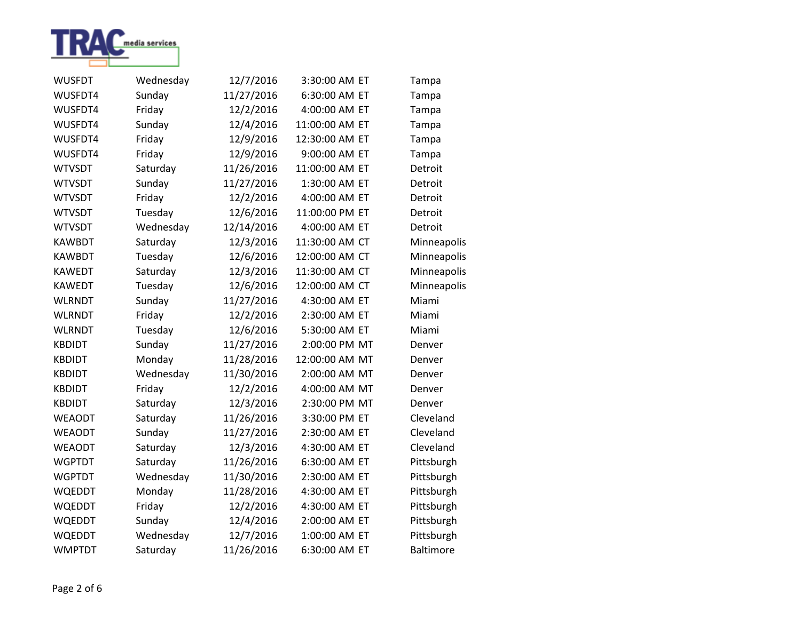

| <b>WUSFDT</b> | Wednesday | 12/7/2016  | 3:30:00 AM ET  | Tampa            |
|---------------|-----------|------------|----------------|------------------|
| WUSFDT4       | Sunday    | 11/27/2016 | 6:30:00 AM ET  | Tampa            |
| WUSFDT4       | Friday    | 12/2/2016  | 4:00:00 AM ET  | Tampa            |
| WUSFDT4       | Sunday    | 12/4/2016  | 11:00:00 AM ET | Tampa            |
| WUSFDT4       | Friday    | 12/9/2016  | 12:30:00 AM ET | Tampa            |
| WUSFDT4       | Friday    | 12/9/2016  | 9:00:00 AM ET  | Tampa            |
| <b>WTVSDT</b> | Saturday  | 11/26/2016 | 11:00:00 AM ET | Detroit          |
| <b>WTVSDT</b> | Sunday    | 11/27/2016 | 1:30:00 AM ET  | Detroit          |
| <b>WTVSDT</b> | Friday    | 12/2/2016  | 4:00:00 AM ET  | Detroit          |
| <b>WTVSDT</b> | Tuesday   | 12/6/2016  | 11:00:00 PM ET | Detroit          |
| <b>WTVSDT</b> | Wednesday | 12/14/2016 | 4:00:00 AM ET  | Detroit          |
| <b>KAWBDT</b> | Saturday  | 12/3/2016  | 11:30:00 AM CT | Minneapolis      |
| <b>KAWBDT</b> | Tuesday   | 12/6/2016  | 12:00:00 AM CT | Minneapolis      |
| <b>KAWEDT</b> | Saturday  | 12/3/2016  | 11:30:00 AM CT | Minneapolis      |
| <b>KAWEDT</b> | Tuesday   | 12/6/2016  | 12:00:00 AM CT | Minneapolis      |
| <b>WLRNDT</b> | Sunday    | 11/27/2016 | 4:30:00 AM ET  | Miami            |
| <b>WLRNDT</b> | Friday    | 12/2/2016  | 2:30:00 AM ET  | Miami            |
| <b>WLRNDT</b> | Tuesday   | 12/6/2016  | 5:30:00 AM ET  | Miami            |
| <b>KBDIDT</b> | Sunday    | 11/27/2016 | 2:00:00 PM MT  | Denver           |
| <b>KBDIDT</b> | Monday    | 11/28/2016 | 12:00:00 AM MT | Denver           |
| <b>KBDIDT</b> | Wednesday | 11/30/2016 | 2:00:00 AM MT  | Denver           |
| <b>KBDIDT</b> | Friday    | 12/2/2016  | 4:00:00 AM MT  | Denver           |
| <b>KBDIDT</b> | Saturday  | 12/3/2016  | 2:30:00 PM MT  | Denver           |
| <b>WEAODT</b> | Saturday  | 11/26/2016 | 3:30:00 PM ET  | Cleveland        |
| <b>WEAODT</b> | Sunday    | 11/27/2016 | 2:30:00 AM ET  | Cleveland        |
| <b>WEAODT</b> | Saturday  | 12/3/2016  | 4:30:00 AM ET  | Cleveland        |
| <b>WGPTDT</b> | Saturday  | 11/26/2016 | 6:30:00 AM ET  | Pittsburgh       |
| <b>WGPTDT</b> | Wednesday | 11/30/2016 | 2:30:00 AM ET  | Pittsburgh       |
| <b>WQEDDT</b> | Monday    | 11/28/2016 | 4:30:00 AM ET  | Pittsburgh       |
| <b>WQEDDT</b> | Friday    | 12/2/2016  | 4:30:00 AM ET  | Pittsburgh       |
| WQEDDT        | Sunday    | 12/4/2016  | 2:00:00 AM ET  | Pittsburgh       |
| WQEDDT        | Wednesday | 12/7/2016  | 1:00:00 AM ET  | Pittsburgh       |
| <b>WMPTDT</b> | Saturday  | 11/26/2016 | 6:30:00 AM ET  | <b>Baltimore</b> |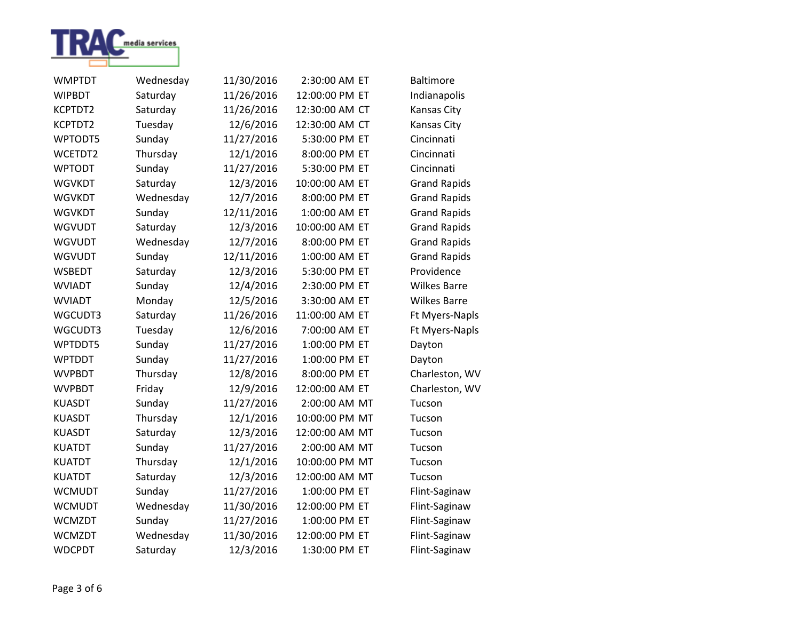

| <b>WMPTDT</b> | Wednesday | 11/30/2016 | 2:30:00 AM ET  | <b>Baltimore</b>    |
|---------------|-----------|------------|----------------|---------------------|
| <b>WIPBDT</b> | Saturday  | 11/26/2016 | 12:00:00 PM ET | Indianapolis        |
| KCPTDT2       | Saturday  | 11/26/2016 | 12:30:00 AM CT | Kansas City         |
| KCPTDT2       | Tuesday   | 12/6/2016  | 12:30:00 AM CT | Kansas City         |
| WPTODT5       | Sunday    | 11/27/2016 | 5:30:00 PM ET  | Cincinnati          |
| WCETDT2       | Thursday  | 12/1/2016  | 8:00:00 PM ET  | Cincinnati          |
| <b>WPTODT</b> | Sunday    | 11/27/2016 | 5:30:00 PM ET  | Cincinnati          |
| <b>WGVKDT</b> | Saturday  | 12/3/2016  | 10:00:00 AM ET | <b>Grand Rapids</b> |
| <b>WGVKDT</b> | Wednesday | 12/7/2016  | 8:00:00 PM ET  | <b>Grand Rapids</b> |
| <b>WGVKDT</b> | Sunday    | 12/11/2016 | 1:00:00 AM ET  | <b>Grand Rapids</b> |
| <b>WGVUDT</b> | Saturday  | 12/3/2016  | 10:00:00 AM ET | <b>Grand Rapids</b> |
| <b>WGVUDT</b> | Wednesday | 12/7/2016  | 8:00:00 PM ET  | <b>Grand Rapids</b> |
| <b>WGVUDT</b> | Sunday    | 12/11/2016 | 1:00:00 AM ET  | <b>Grand Rapids</b> |
| <b>WSBEDT</b> | Saturday  | 12/3/2016  | 5:30:00 PM ET  | Providence          |
| <b>WVIADT</b> | Sunday    | 12/4/2016  | 2:30:00 PM ET  | <b>Wilkes Barre</b> |
| <b>WVIADT</b> | Monday    | 12/5/2016  | 3:30:00 AM ET  | <b>Wilkes Barre</b> |
| WGCUDT3       | Saturday  | 11/26/2016 | 11:00:00 AM ET | Ft Myers-Napls      |
| WGCUDT3       | Tuesday   | 12/6/2016  | 7:00:00 AM ET  | Ft Myers-Napls      |
| WPTDDT5       | Sunday    | 11/27/2016 | 1:00:00 PM ET  | Dayton              |
| <b>WPTDDT</b> | Sunday    | 11/27/2016 | 1:00:00 PM ET  | Dayton              |
| <b>WVPBDT</b> | Thursday  | 12/8/2016  | 8:00:00 PM ET  | Charleston, WV      |
| <b>WVPBDT</b> | Friday    | 12/9/2016  | 12:00:00 AM ET | Charleston, WV      |
| <b>KUASDT</b> | Sunday    | 11/27/2016 | 2:00:00 AM MT  | Tucson              |
| <b>KUASDT</b> | Thursday  | 12/1/2016  | 10:00:00 PM MT | Tucson              |
| <b>KUASDT</b> | Saturday  | 12/3/2016  | 12:00:00 AM MT | Tucson              |
| <b>KUATDT</b> | Sunday    | 11/27/2016 | 2:00:00 AM MT  | Tucson              |
| <b>KUATDT</b> | Thursday  | 12/1/2016  | 10:00:00 PM MT | Tucson              |
| <b>KUATDT</b> | Saturday  | 12/3/2016  | 12:00:00 AM MT | Tucson              |
| <b>WCMUDT</b> | Sunday    | 11/27/2016 | 1:00:00 PM ET  | Flint-Saginaw       |
| <b>WCMUDT</b> | Wednesday | 11/30/2016 | 12:00:00 PM ET | Flint-Saginaw       |
| <b>WCMZDT</b> | Sunday    | 11/27/2016 | 1:00:00 PM ET  | Flint-Saginaw       |
| <b>WCMZDT</b> | Wednesday | 11/30/2016 | 12:00:00 PM ET | Flint-Saginaw       |
| <b>WDCPDT</b> | Saturday  | 12/3/2016  | 1:30:00 PM ET  | Flint-Saginaw       |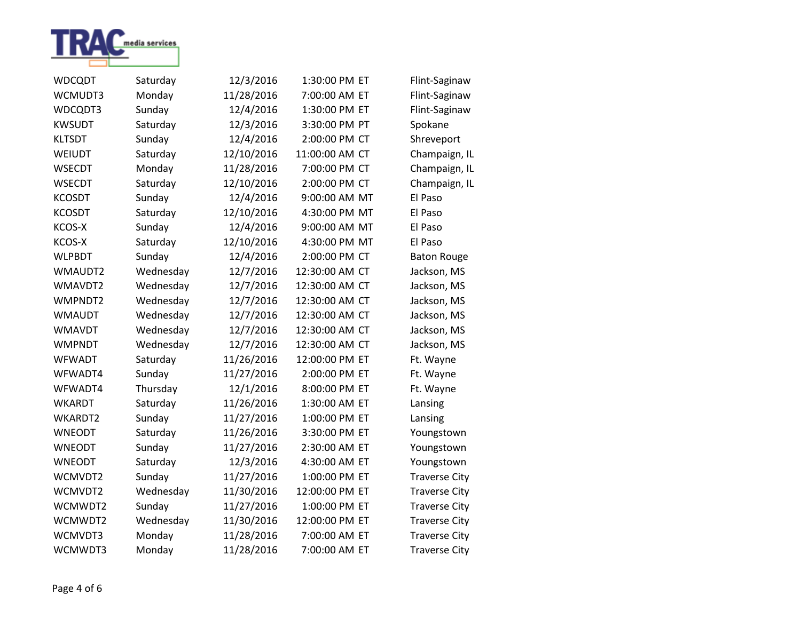

| <b>WDCQDT</b> | Saturday  | 12/3/2016  | 1:30:00 PM ET  | Flint-Saginaw        |
|---------------|-----------|------------|----------------|----------------------|
| WCMUDT3       | Monday    | 11/28/2016 | 7:00:00 AM ET  | Flint-Saginaw        |
| WDCQDT3       | Sunday    | 12/4/2016  | 1:30:00 PM ET  | Flint-Saginaw        |
| <b>KWSUDT</b> | Saturday  | 12/3/2016  | 3:30:00 PM PT  | Spokane              |
| <b>KLTSDT</b> | Sunday    | 12/4/2016  | 2:00:00 PM CT  | Shreveport           |
| <b>WEIUDT</b> | Saturday  | 12/10/2016 | 11:00:00 AM CT | Champaign, IL        |
| <b>WSECDT</b> | Monday    | 11/28/2016 | 7:00:00 PM CT  | Champaign, IL        |
| <b>WSECDT</b> | Saturday  | 12/10/2016 | 2:00:00 PM CT  | Champaign, IL        |
| <b>KCOSDT</b> | Sunday    | 12/4/2016  | 9:00:00 AM MT  | El Paso              |
| <b>KCOSDT</b> | Saturday  | 12/10/2016 | 4:30:00 PM MT  | El Paso              |
| KCOS-X        | Sunday    | 12/4/2016  | 9:00:00 AM MT  | El Paso              |
| KCOS-X        | Saturday  | 12/10/2016 | 4:30:00 PM MT  | El Paso              |
| <b>WLPBDT</b> | Sunday    | 12/4/2016  | 2:00:00 PM CT  | <b>Baton Rouge</b>   |
| WMAUDT2       | Wednesday | 12/7/2016  | 12:30:00 AM CT | Jackson, MS          |
| WMAVDT2       | Wednesday | 12/7/2016  | 12:30:00 AM CT | Jackson, MS          |
| WMPNDT2       | Wednesday | 12/7/2016  | 12:30:00 AM CT | Jackson, MS          |
| <b>WMAUDT</b> | Wednesday | 12/7/2016  | 12:30:00 AM CT | Jackson, MS          |
| <b>WMAVDT</b> | Wednesday | 12/7/2016  | 12:30:00 AM CT | Jackson, MS          |
| <b>WMPNDT</b> | Wednesday | 12/7/2016  | 12:30:00 AM CT | Jackson, MS          |
| <b>WFWADT</b> | Saturday  | 11/26/2016 | 12:00:00 PM ET | Ft. Wayne            |
| WFWADT4       | Sunday    | 11/27/2016 | 2:00:00 PM ET  | Ft. Wayne            |
| WFWADT4       | Thursday  | 12/1/2016  | 8:00:00 PM ET  | Ft. Wayne            |
| <b>WKARDT</b> | Saturday  | 11/26/2016 | 1:30:00 AM ET  | Lansing              |
| WKARDT2       | Sunday    | 11/27/2016 | 1:00:00 PM ET  | Lansing              |
| <b>WNEODT</b> | Saturday  | 11/26/2016 | 3:30:00 PM ET  | Youngstown           |
| <b>WNEODT</b> | Sunday    | 11/27/2016 | 2:30:00 AM ET  | Youngstown           |
| <b>WNEODT</b> | Saturday  | 12/3/2016  | 4:30:00 AM ET  | Youngstown           |
| WCMVDT2       | Sunday    | 11/27/2016 | 1:00:00 PM ET  | <b>Traverse City</b> |
| WCMVDT2       | Wednesday | 11/30/2016 | 12:00:00 PM ET | <b>Traverse City</b> |
| WCMWDT2       | Sunday    | 11/27/2016 | 1:00:00 PM ET  | <b>Traverse City</b> |
| WCMWDT2       | Wednesday | 11/30/2016 | 12:00:00 PM ET | <b>Traverse City</b> |
| WCMVDT3       | Monday    | 11/28/2016 | 7:00:00 AM ET  | <b>Traverse City</b> |
| WCMWDT3       | Monday    | 11/28/2016 | 7:00:00 AM ET  | <b>Traverse City</b> |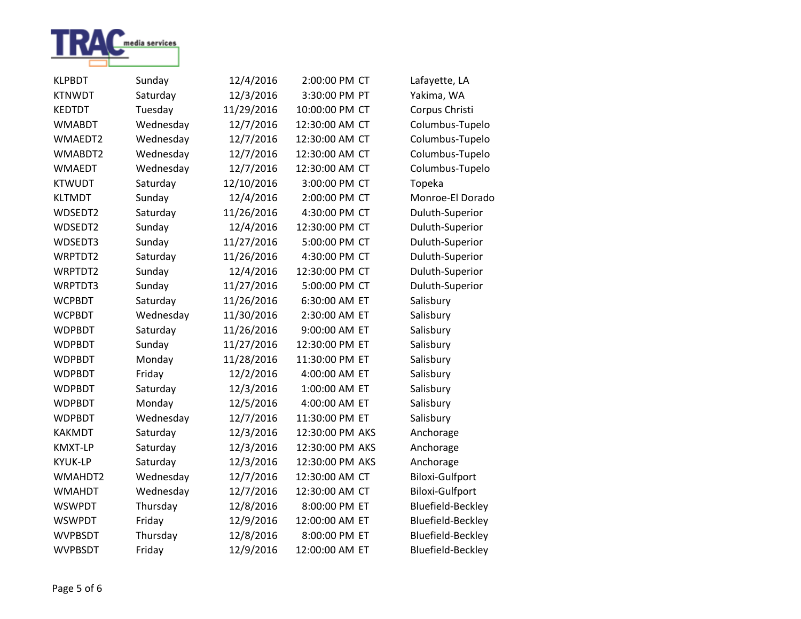

| <b>KLPBDT</b>  | Sunday    | 12/4/2016  | 2:00:00 PM CT   | Lafayette, LA            |
|----------------|-----------|------------|-----------------|--------------------------|
| <b>KTNWDT</b>  | Saturday  | 12/3/2016  | 3:30:00 PM PT   | Yakima, WA               |
| <b>KEDTDT</b>  | Tuesday   | 11/29/2016 | 10:00:00 PM CT  | Corpus Christi           |
| <b>WMABDT</b>  | Wednesday | 12/7/2016  | 12:30:00 AM CT  | Columbus-Tupelo          |
| WMAEDT2        | Wednesday | 12/7/2016  | 12:30:00 AM CT  | Columbus-Tupelo          |
| WMABDT2        | Wednesday | 12/7/2016  | 12:30:00 AM CT  | Columbus-Tupelo          |
| <b>WMAEDT</b>  | Wednesday | 12/7/2016  | 12:30:00 AM CT  | Columbus-Tupelo          |
| <b>KTWUDT</b>  | Saturday  | 12/10/2016 | 3:00:00 PM CT   | Topeka                   |
| <b>KLTMDT</b>  | Sunday    | 12/4/2016  | 2:00:00 PM CT   | Monroe-El Dorado         |
| WDSEDT2        | Saturday  | 11/26/2016 | 4:30:00 PM CT   | Duluth-Superior          |
| WDSEDT2        | Sunday    | 12/4/2016  | 12:30:00 PM CT  | Duluth-Superior          |
| WDSEDT3        | Sunday    | 11/27/2016 | 5:00:00 PM CT   | Duluth-Superior          |
| WRPTDT2        | Saturday  | 11/26/2016 | 4:30:00 PM CT   | Duluth-Superior          |
| WRPTDT2        | Sunday    | 12/4/2016  | 12:30:00 PM CT  | Duluth-Superior          |
| WRPTDT3        | Sunday    | 11/27/2016 | 5:00:00 PM CT   | Duluth-Superior          |
| <b>WCPBDT</b>  | Saturday  | 11/26/2016 | 6:30:00 AM ET   | Salisbury                |
| <b>WCPBDT</b>  | Wednesday | 11/30/2016 | 2:30:00 AM ET   | Salisbury                |
| <b>WDPBDT</b>  | Saturday  | 11/26/2016 | 9:00:00 AM ET   | Salisbury                |
| <b>WDPBDT</b>  | Sunday    | 11/27/2016 | 12:30:00 PM ET  | Salisbury                |
| <b>WDPBDT</b>  | Monday    | 11/28/2016 | 11:30:00 PM ET  | Salisbury                |
| <b>WDPBDT</b>  | Friday    | 12/2/2016  | 4:00:00 AM ET   | Salisbury                |
| <b>WDPBDT</b>  | Saturday  | 12/3/2016  | 1:00:00 AM ET   | Salisbury                |
| <b>WDPBDT</b>  | Monday    | 12/5/2016  | 4:00:00 AM ET   | Salisbury                |
| <b>WDPBDT</b>  | Wednesday | 12/7/2016  | 11:30:00 PM ET  | Salisbury                |
| <b>KAKMDT</b>  | Saturday  | 12/3/2016  | 12:30:00 PM AKS | Anchorage                |
| <b>KMXT-LP</b> | Saturday  | 12/3/2016  | 12:30:00 PM AKS | Anchorage                |
| <b>KYUK-LP</b> | Saturday  | 12/3/2016  | 12:30:00 PM AKS | Anchorage                |
| WMAHDT2        | Wednesday | 12/7/2016  | 12:30:00 AM CT  | <b>Biloxi-Gulfport</b>   |
| <b>WMAHDT</b>  | Wednesday | 12/7/2016  | 12:30:00 AM CT  | <b>Biloxi-Gulfport</b>   |
| <b>WSWPDT</b>  | Thursday  | 12/8/2016  | 8:00:00 PM ET   | <b>Bluefield-Beckley</b> |
| <b>WSWPDT</b>  | Friday    | 12/9/2016  | 12:00:00 AM ET  | <b>Bluefield-Beckley</b> |
| <b>WVPBSDT</b> | Thursday  | 12/8/2016  | 8:00:00 PM ET   | <b>Bluefield-Beckley</b> |
| <b>WVPBSDT</b> | Friday    | 12/9/2016  | 12:00:00 AM ET  | <b>Bluefield-Beckley</b> |

Page 5 of 6